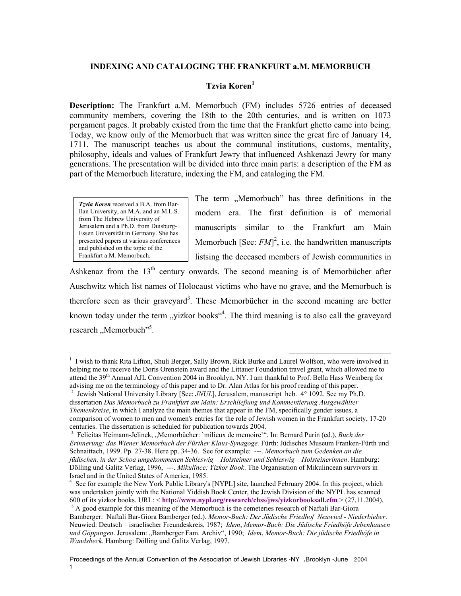# **INDEXING AND CATALOGING THE FRANKFURT a.M. MEMORBUCH**

# **Tzvia Koren<sup>1</sup>**

**Description:** The Frankfurt a.M. Memorbuch (FM) includes 5726 entries of deceased community members, covering the 18th to the 20th centuries, and is written on 1073 pergament pages. It probably existed from the time that the Frankfurt ghetto came into being. Today, we know only of the Memorbuch that was written since the great fire of January 14, 1711. The manuscript teaches us about the communal institutions, customs, mentality, philosophy, ideals and values of Frankfurt Jewry that influenced Ashkenazi Jewry for many generations. The presentation will be divided into three main parts: a description of the FM as part of the Memorbuch literature, indexing the FM, and cataloging the FM.

*Tzvia Koren* received a B.A. from Bar-Ilan University, an M.A. and an M.L.S. from The Hebrew University of Jerusalem and a Ph.D. from Duisburg-Essen Universität in Germany. She has presented papers at various conferences and published on the topic of the Frankfurt a.M. Memorbuch.

The term "Memorbuch" has three definitions in the modern era. The first definition is of memorial manuscripts similar to the Frankfurt am Main Memorbuch [See:  $FM^2$ , i.e. the handwritten manuscripts listsing the deceased members of Jewish communities in

Ashkenaz from the  $13<sup>th</sup>$  century onwards. The second meaning is of Memorbücher after Auschwitz which list names of Holocaust victims who have no grave, and the Memorbuch is therefore seen as their graveyard<sup>3</sup>. These Memorbücher in the second meaning are better known today under the term "yizkor books"<sup>4</sup>. The third meaning is to also call the graveyard research, Memorbuch"<sup>5</sup>.

<sup>&</sup>lt;sup>1</sup> I wish to thank Rita Lifton, Shuli Berger, Sally Brown, Rick Burke and Laurel Wolfson, who were involved in helping me to receive the Doris Orenstein award and the Littauer Foundation travel grant, which allowed me to attend the 39<sup>th</sup> Annual AJL Convention 2004 in Brooklyn, NY. I am thankful to Prof. Bella Hass Weinberg for advising me on the terminology of this paper and to Dr. Alan Atlas for his proof reading of this paper.

<sup>&</sup>lt;sup>2</sup> Jewish National University Library [See: *JNUL*], Jerusalem, manuscript heb. 4° 1092. See my Ph.D. dissertation *Das Memorbuch zu Frankfurt am Main: Erschließung und Kommentierung Ausgewählter Themenkreise*, in which I analyze the main themes that appear in the FM, specifically gender issues, a comparison of women to men and women's entries for the role of Jewish women in the Frankfurt society, 17-20 centuries. The dissertation is scheduled for publication towards 2004.

<sup>&</sup>lt;sup>3</sup> Felicitas Heimann-Jelinek, "Memorbücher: `milieux de memoire`". In: Bernard Purin (ed.), *Buch der Erinnerung: das Wiener Memorbuch der Fürther Klaus-Synagoge.* Fürth: Jüdisches Museum Franken-Fürth und Schnaittach, 1999. Pp. 27-38. Here pp. 34-36. See for example: ---. *Memorbuch zum Gedenken an die jüdischen, in der Schoa umgekommenen Schleswig – Holsteimer und Schleswig – Holsteinerinnen*. Hamburg: Dölling und Galitz Verlag, 1996, ---. *Mikulince: Yizkor Book*. The Organisation of Mikulincean survivors in Israel and in the United States of America, 1985.

<sup>&</sup>lt;sup>4</sup> See for example the New York Public Library's [NYPL] site, launched February 2004. In this project, which was undertaken jointly with the National Yiddish Book Center, the Jewish Division of the NYPL has scanned 600 of its yizkor books. URL: < **<http://www.nypl.org/research/chss/jws/yizkorbooksall.cfm>** > (27.11.2004).

<sup>&</sup>lt;sup>5</sup> A good example for this meaning of the Memorbuch is the cemeteries research of Naftali Bar-Giora Bamberger: Naftali Bar-Giora Bamberger (ed.). *Memor-Buch: Der Jüdische Friedhof Neuwied - Niederbieber*. Neuwied: Deutsch – israelischer Freundeskreis, 1987; *Idem*, *Memor-Buch: Die Jüdische Friedhöfe Jebenhausen und Göppingen*. Jerusalem: "Bamberger Fam. Archiv", 1990; *Idem*, *Memor-Buch: Die jüdische Friedhöfe in Wandsbeck*. Hamburg: Dölling und Galitz Verlag, 1997.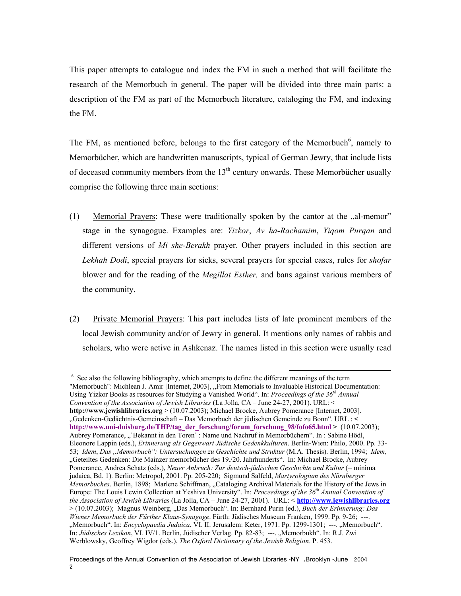This paper attempts to catalogue and index the FM in such a method that will facilitate the research of the Memorbuch in general. The paper will be divided into three main parts: a description of the FM as part of the Memorbuch literature, cataloging the FM, and indexing the FM.

The FM, as mentioned before, belongs to the first category of the Memorbuch<sup>6</sup>, namely to Memorbücher, which are handwritten manuscripts, typical of German Jewry, that include lists of deceased community members from the  $13<sup>th</sup>$  century onwards. These Memorbücher usually comprise the following three main sections:

- (1) Memorial Prayers: These were traditionally spoken by the cantor at the  $\alpha$ -al-memor" stage in the synagogue. Examples are: *Yizkor*, *Av ha-Rachamim*, *Yiqom Purqan* and different versions of *Mi she-Berakh* prayer. Other prayers included in this section are *Lekhah Dodi*, special prayers for sicks, several prayers for special cases, rules for *shofar*  blower and for the reading of the *Megillat Esther,* and bans against various members of the community.
- (2) Private Memorial Prayers: This part includes lists of late prominent members of the local Jewish community and/or of Jewry in general. It mentions only names of rabbis and scholars, who were active in Ashkenaz. The names listed in this section were usually read

 $\overline{a}$ 

<sup>&</sup>lt;sup>6</sup> See also the following bibliography, which attempts to define the different meanings of the term "Memorbuch": Michlean J. Amir [Internet, 2003], "From Memorials to Invaluable Historical Documentation: Using Yizkor Books as resources for Studying a Vanished World". In: *Proceedings of the 36th Annual Convention of the Association of Jewish Libraries* (La Jolla, CA – June 24-27, 2001). URL: < **<http://www.jewishlibraries.org>** > (10.07.2003); Michael Brocke, Aubrey Pomerance [Internet, 2003]. "Gedenken-Gedächtnis-Gemeinschaft – Das Memorbuch der jüdischen Gemeinde zu Bonn". URL : **< [http://www.uni-duisburg.de/THP/tag\\_der\\_forschung/forum\\_forschung\\_98/fofo65.html](http://www.uni-duisburg.de/THP/tag_der_forschung/forum_forschung_98/fofo65.html) >** (10.07.2003); Aubrey Pomerance, "`Bekannt in den Toren` : Name und Nachruf in Memorbüchern". In : Sabine Hödl, Eleonore Lappin (eds.), *Erinnerung als Gegenwart Jüdische Gedenkkulturen*. Berlin-Wien: Philo, 2000. Pp. 33- 53; *Idem*, *Das "Memorbuch": Untersuchungen zu Geschichte und Struktur* (M.A. Thesis). Berlin, 1994; *Idem*, "Geteiltes Gedenken: Die Mainzer memorbücher des 19./20. Jahrhunderts". In: Michael Brocke, Aubrey Pomerance, Andrea Schatz (eds.), *Neuer Anbruch: Zur deutsch-jüdischen Geschichte und Kultur* (= minima judaica, Bd. 1). Berlin: Metropol, 2001. Pp. 205-220; Sigmund Salfeld, *Martyrologium des Nürnberger Memorbuches*. Berlin, 1898; Marlene Schiffman, "Cataloging Archival Materials for the History of the Jews in Europe: The Louis Lewin Collection at Yeshiva University". In: *Proceedings of the 36th Annual Convention of the Association of Jewish Libraries* (La Jolla, CA – June 24-27, 2001). URL: < **<http://www.jewishlibraries.org>** > (10.07.2003); Magnus Weinberg, "Das Memorbuch". In: Bernhard Purin (ed.), *Buch der Erinnerung: Das Wiener Memorbuch der Fürther Klaus-Synagoge*. Fürth: Jüdisches Museum Franken, 1999. Pp. 9-26; ---. "Memorbuch". In: *Encyclopaedia Judaica*, VI. II. Jerusalem: Keter, 1971. Pp. 1299-1301; ---. "Memorbuch". In: *Jüdisches Lexikon*, VI. IV/1. Berlin, Jüdischer Verlag. Pp. 82-83; ---. "Memorbukh". In: R.J. Zwi Werblowsky, Geoffrey Wigdor (eds.), *The Oxford Dictionary of the Jewish Religion*. P. 453.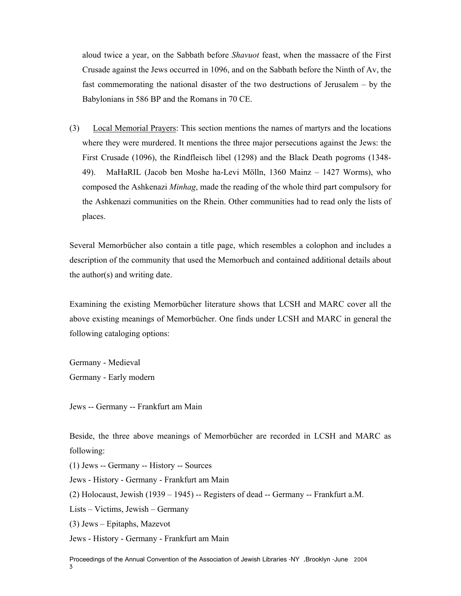aloud twice a year, on the Sabbath before *Shavuot* feast, when the massacre of the First Crusade against the Jews occurred in 1096, and on the Sabbath before the Ninth of Av, the fast commemorating the national disaster of the two destructions of Jerusalem – by the Babylonians in 586 BP and the Romans in 70 CE.

(3) Local Memorial Prayers: This section mentions the names of martyrs and the locations where they were murdered. It mentions the three major persecutions against the Jews: the First Crusade (1096), the Rindfleisch libel (1298) and the Black Death pogroms (1348- 49). MaHaRIL (Jacob ben Moshe ha-Levi Mölln, 1360 Mainz – 1427 Worms), who composed the Ashkenazi *Minhag*, made the reading of the whole third part compulsory for the Ashkenazi communities on the Rhein. Other communities had to read only the lists of places.

Several Memorbücher also contain a title page, which resembles a colophon and includes a description of the community that used the Memorbuch and contained additional details about the author(s) and writing date.

Examining the existing Memorbücher literature shows that LCSH and MARC cover all the above existing meanings of Memorbücher. One finds under LCSH and MARC in general the following cataloging options:

Germany - Medieval Germany - Early modern

Jews -- Germany -- Frankfurt am Main

Beside, the three above meanings of Memorbücher are recorded in LCSH and MARC as following:

(1) Jews -- Germany -- History -- Sources

Jews - History - Germany - Frankfurt am Main

(2) Holocaust, Jewish (1939 – 1945) -- Registers of dead -- Germany -- Frankfurt a.M.

Lists – Victims, Jewish – Germany

(3) Jews – Epitaphs, Mazevot

Jews - History - Germany - Frankfurt am Main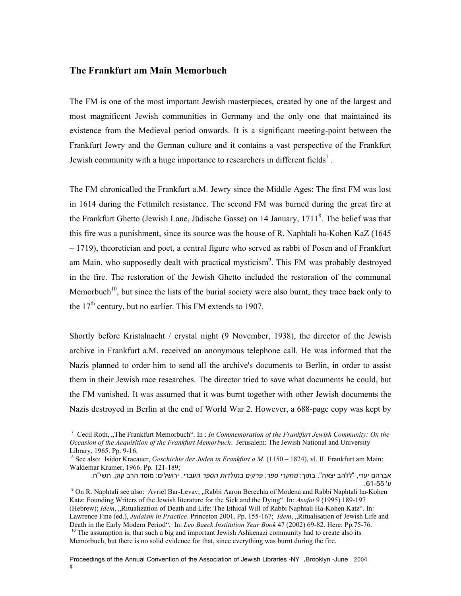# **The Frankfurt am Main Memorbuch**

The FM is one of the most important Jewish masterpieces, created by one of the largest and most magnificent Jewish communities in Germany and the only one that maintained its existence from the Medieval period onwards. It is a significant meeting-point between the Frankfurt Jewry and the German culture and it contains a vast perspective of the Frankfurt Jewish community with a huge importance to researchers in different fields<sup>7</sup>.

The FM chronicalled the Frankfurt a.M. Jewry since the Middle Ages: The first FM was lost in 1614 during the Fettmilch resistance. The second FM was burned during the great fire at the Frankfurt Ghetto (Jewish Lane, Jüdische Gasse) on 14 January,  $1711<sup>8</sup>$ . The belief was that this fire was a punishment, since its source was the house of R. Naphtali ha-Kohen KaZ (1645 – 1719), theoretician and poet, a central figure who served as rabbi of Posen and of Frankfurt am Main, who supposedly dealt with practical mysticism<sup>9</sup>. This FM was probably destroyed in the fire. The restoration of the Jewish Ghetto included the restoration of the communal Memorbuch<sup>10</sup>, but since the lists of the burial society were also burnt, they trace back only to the  $17<sup>th</sup>$  century, but no earlier. This FM extends to 1907.

Shortly before Kristalnacht / crystal night (9 November, 1938), the director of the Jewish archive in Frankfurt a.M. received an anonymous telephone call. He was informed that the Nazis planned to order him to send all the archive's documents to Berlin, in order to assist them in their Jewish race researches. The director tried to save what documents he could, but the FM vanished. It was assumed that it was burnt together with other Jewish documents the Nazis destroyed in Berlin at the end of World War 2. However, a 688-page copy was kept by

 $\overline{a}$ 

<sup>&</sup>lt;sup>7</sup> Cecil Roth, "The Frankfurt Memorbuch". In : *In Commemoration of the Frankfurt Jewish Community: On the Occasion of the Acquisition of the Frankfurt Memorbuch*. Jerusalem: The Jewish National and University Library, 1965. Pp. 9-16.

<sup>&</sup>lt;sup>8</sup> See also: Isidor Kracauer, *Geschichte der Juden in Frankfurt a.M.* (1150 – 1824), vl. II. Frankfurt am Main: Waldemar Kramer, 1966. Pp. 121-189;

אברהם יערי, "ללהב יצאה". בתוך: *מחקרי ספר: פרקים בתולדות הספר העברי*. ירושלים: מוסד הרב קוק, תשי"ח. 9 <sup>ע</sup>' .61-55 On R. Naphtali see also: Avriel Bar-Levav, "Rabbi Aaron Berechia of Modena and Rabbi Naphtali ha-Kohen

Katz: Founding Writers of the Jewish literature for the Sick and the Dying". In: *Asufot* 9 (1995) 189-197 (Hebrew); *Idem*, "Ritualization of Death and Life: The Ethical Will of Rabbi Naphtali Ha-Kohen Katz". In: Lawrence Fine (ed.), *Judaism in Practice*. Princeton 2001. Pp. 155-167; *Idem*, "Ritualisation of Jewish Life and Death in the Early Modern Period". In: *Leo Baeck Institution Year Book* 47 (2002) 69-82. Here: Pp.75-76. <sup>10</sup> The assumption is, that such a big and important Jewish Ashkenazi community had to create also its Memorbuch, but there is no solid evidence for that, since everything was burnt during the fire.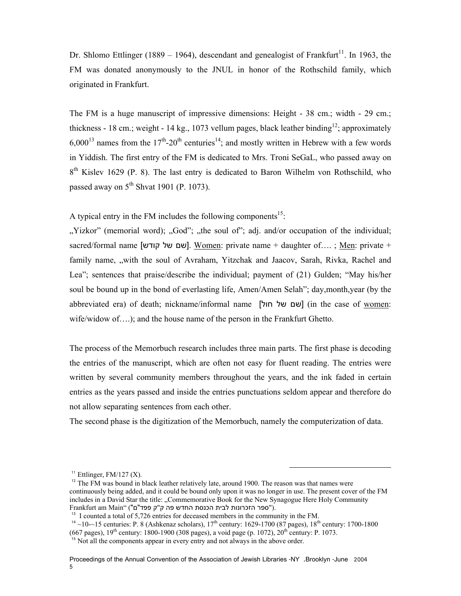Dr. Shlomo Ettlinger (1889 – 1964), descendant and genealogist of Frankfurt<sup>11</sup>. In 1963, the FM was donated anonymously to the JNUL in honor of the Rothschild family, which originated in Frankfurt.

The FM is a huge manuscript of impressive dimensions: Height - 38 cm.; width - 29 cm.; thickness - 18 cm.; weight - 14 kg., 1073 vellum pages, black leather binding<sup>12</sup>; approximately  $6.000^{13}$  names from the 17<sup>th</sup>-20<sup>th</sup> centuries<sup>14</sup>; and mostly written in Hebrew with a few words in Yiddish. The first entry of the FM is dedicated to Mrs. Troni SeGaL, who passed away on  $8<sup>th</sup>$  Kislev 1629 (P. 8). The last entry is dedicated to Baron Wilhelm von Rothschild, who passed away on  $5<sup>th</sup>$  Shvat 1901 (P. 1073).

A typical entry in the FM includes the following components<sup>15</sup>:

"Yizkor" (memorial word); "God"; "", the soul of"; adj. and/or occupation of the individual; sacred/formal name [השם של קודש]. Women: private name + daughter of....; Men: private + family name, "with the soul of Avraham, Yitzchak and Jaacov, Sarah, Rivka, Rachel and Lea"; sentences that praise/describe the individual; payment of (21) Gulden; "May his/her soul be bound up in the bond of everlasting life, Amen/Amen Selah"; day,month,year (by the abbreviated era) of death; nickname/informal name [שם של חול] (in the case of women: wife/widow of….); and the house name of the person in the Frankfurt Ghetto.

The process of the Memorbuch research includes three main parts. The first phase is decoding the entries of the manuscript, which are often not easy for fluent reading. The entries were written by several community members throughout the years, and the ink faded in certain entries as the years passed and inside the entries punctuations seldom appear and therefore do not allow separating sentences from each other.

The second phase is the digitization of the Memorbuch, namely the computerization of data.

 $\overline{a}$ 

 $11$  Ettlinger, FM/127 (X).

<sup>&</sup>lt;sup>12</sup> The FM was bound in black leather relatively late, around 1900. The reason was that names were continuously being added, and it could be bound only upon it was no longer in use. The present cover of the FM includes in a David Star the title: "Commemorative Book for the New Synagogue Here Holy Community  $F$ rankfurt am Main" ("ספר הזכרונות לבית הכנסת החדש פה ק"ק פפד"ם").

<sup>&</sup>lt;sup>13</sup> I counted a total of 5,726 entries for deceased members in the community in the FM.

<sup>&</sup>lt;sup>14</sup> ~10-~15 centuries: P. 8 (Ashkenaz scholars),  $17^{th}$  century: 1629-1700 (87 pages),  $18^{th}$  century: 1700-1800 (667 pages),  $19^{th}$  century: 1800-1900 (308 pages), a void page (p. 1072),  $20^{th}$  century: P. 1073.

<sup>&</sup>lt;sup>15</sup> Not all the components appear in every entry and not always in the above order.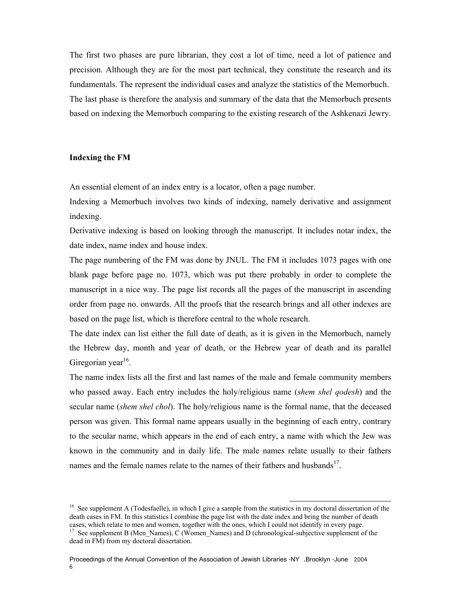The first two phases are pure librarian, they cost a lot of time, need a lot of patience and precision. Although they are for the most part technical, they constitute the research and its fundamentals. The represent the individual cases and analyze the statistics of the Memorbuch. The last phase is therefore the analysis and summary of the data that the Memorbuch presents based on indexing the Memorbuch comparing to the existing research of the Ashkenazi Jewry.

## **Indexing the FM**

An essential element of an index entry is a locator, often a page number.

Indexing a Memorbuch involves two kinds of indexing, namely derivative and assignment indexing.

Derivative indexing is based on looking through the manuscript. It includes notar index, the date index, name index and house index.

The page numbering of the FM was done by JNUL. The FM it includes 1073 pages with one blank page before page no. 1073, which was put there probably in order to complete the manuscript in a nice way. The page list records all the pages of the manuscript in ascending order from page no. onwards. All the proofs that the research brings and all other indexes are based on the page list, which is therefore central to the whole research.

The date index can list either the full date of death, as it is given in the Memorbuch, namely the Hebrew day, month and year of death, or the Hebrew year of death and its parallel Giregorian year<sup>16</sup>.

The name index lists all the first and last names of the male and female community members who passed away. Each entry includes the holy/religious name (*shem shel qodesh*) and the secular name (*shem shel chol*). The holy/religious name is the formal name, that the deceased person was given. This formal name appears usually in the beginning of each entry, contrary to the secular name, which appears in the end of each entry, a name with which the Jew was known in the community and in daily life. The male names relate usually to their fathers names and the female names relate to the names of their fathers and husbands<sup>17</sup>.

<sup>&</sup>lt;sup>16</sup> See supplement A (Todesfaelle), in which I give a sample from the statistics in my doctoral dissertation of the death cases in FM. In this statistics I combine the page list with the date index and bring the number of death cases, which relate to men and women, together with the ones, which I could not identify in every page. <sup>17</sup> See supplement B (Men\_Names), C (Women\_Names) and D (chronological-subjective supplement of the dead in FM) from my doctoral dissertation.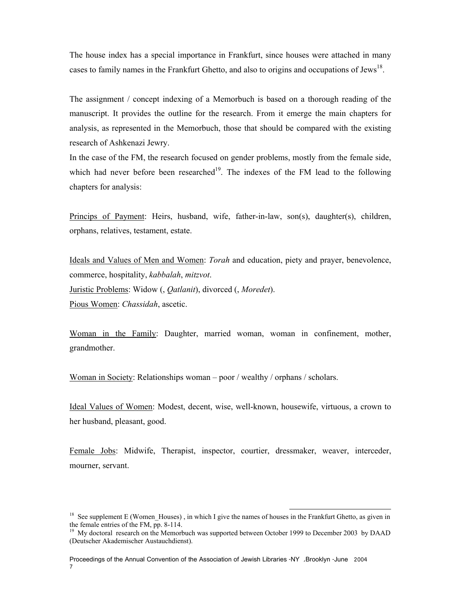The house index has a special importance in Frankfurt, since houses were attached in many cases to family names in the Frankfurt Ghetto, and also to origins and occupations of Jews<sup>18</sup>.

The assignment / concept indexing of a Memorbuch is based on a thorough reading of the manuscript. It provides the outline for the research. From it emerge the main chapters for analysis, as represented in the Memorbuch, those that should be compared with the existing research of Ashkenazi Jewry.

In the case of the FM, the research focused on gender problems, mostly from the female side, which had never before been researched<sup>19</sup>. The indexes of the FM lead to the following chapters for analysis:

Princips of Payment: Heirs, husband, wife, father-in-law, son(s), daughter(s), children, orphans, relatives, testament, estate.

Ideals and Values of Men and Women: *Torah* and education, piety and prayer, benevolence, commerce, hospitality, *kabbalah*, *mitzvot*. Juristic Problems: Widow (, *Qatlanit*), divorced (, *Moredet*). Pious Women: *Chassidah*, ascetic.

Woman in the Family: Daughter, married woman, woman in confinement, mother, grandmother.

Woman in Society: Relationships woman – poor / wealthy / orphans / scholars.

Ideal Values of Women: Modest, decent, wise, well-known, housewife, virtuous, a crown to her husband, pleasant, good.

Female Jobs: Midwife, Therapist, inspector, courtier, dressmaker, weaver, interceder, mourner, servant.

<sup>&</sup>lt;sup>18</sup> See supplement E (Women Houses), in which I give the names of houses in the Frankfurt Ghetto, as given in the female entries of the FM, pp. 8-114.

 $19$  My doctoral research on the Memorbuch was supported between October 1999 to December 2003 by DAAD (Deutscher Akademischer Austauchdienst).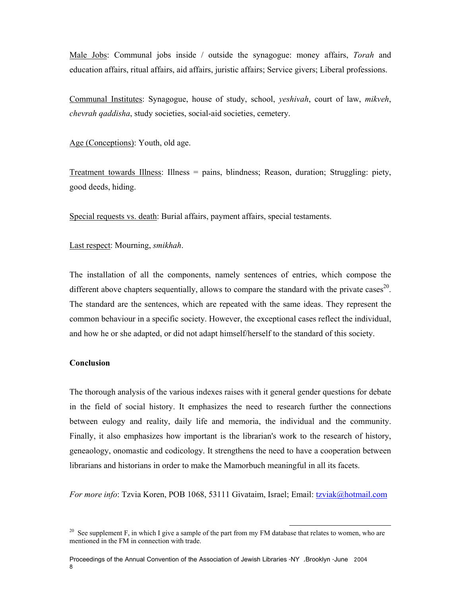Male Jobs: Communal jobs inside / outside the synagogue: money affairs, *Torah* and education affairs, ritual affairs, aid affairs, juristic affairs; Service givers; Liberal professions.

Communal Institutes: Synagogue, house of study, school, *yeshivah*, court of law, *mikveh*, *chevrah qaddisha*, study societies, social-aid societies, cemetery.

Age (Conceptions): Youth, old age.

Treatment towards Illness: Illness = pains, blindness; Reason, duration; Struggling: piety, good deeds, hiding.

Special requests vs. death: Burial affairs, payment affairs, special testaments.

Last respect: Mourning, *smikhah*.

The installation of all the components, namely sentences of entries, which compose the different above chapters sequentially, allows to compare the standard with the private cases<sup>20</sup>. The standard are the sentences, which are repeated with the same ideas. They represent the common behaviour in a specific society. However, the exceptional cases reflect the individual, and how he or she adapted, or did not adapt himself/herself to the standard of this society.

### **Conclusion**

The thorough analysis of the various indexes raises with it general gender questions for debate in the field of social history. It emphasizes the need to research further the connections between eulogy and reality, daily life and memoria, the individual and the community. Finally, it also emphasizes how important is the librarian's work to the research of history, geneaology, onomastic and codicology. It strengthens the need to have a cooperation between librarians and historians in order to make the Mamorbuch meaningful in all its facets.

*For more info*: Tzvia Koren, POB 1068, 53111 Givataim, Israel; Email: tzviak@hotmail.com

<sup>&</sup>lt;sup>20</sup> See supplement F, in which I give a sample of the part from my FM database that relates to women, who are mentioned in the FM in connection with trade.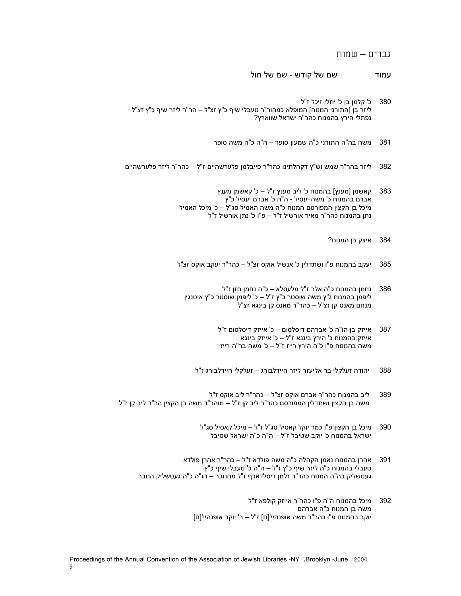# גברים – שמות

- עמוד שם של קודש שם של חול
- 380 כ' קלמן בן כ' יוזלי זיכל ז"ל ליזר בן [התורני המנוח] המופלא כמהור"ר טעבלי שיף כ"ץ זצ"ל – הר"ר ליזר שיף כ"ץ זצ"ל נפתלי הירץ בהמנוח כהר"ר ישראל שווארץ?
	- 381 משה בה"ה התורני כ"ה שמעון סופר ה"ה כ"ה משה סופר
- 382 ליזר בהר"ר שמש וש"ץ דקהלתינו כהר"ר פייבלמן פלערשהיים ז"ל כהר"ר ליזר פלערשהיים
	- 383 קאשמן [מענץ] בהמנוח כ' ליב מענץ ז"ל כ' קאשמן מענץ אברם בהמנוח כ' משה יעסיל - ה"ה כ' אברם יעסיל כ"ץ מיכל בן הקצין המפורסם המנוח כ"ה משה האמיל סג"ל – כ' מיכל האמיל נתן בהמנוח כהר"ר מאיר אורשיל ז"ל – פ"ו כ' נתן אורשיל ז"ל
		- 384 איצק בן המנוח?
	- 385 יעקב בהמנוח פ"ו ושתדלין כ' אנשיל אוקס זצ"ל כהר"ר יעקב אוקס זצ"ל
		- 386 נחמן בהמנוח כ"ה אלר ז"ל מלעסלא כ"ה נחמן חזן ז"ל ליפמן בהמנוח ג"ץ משה שוסטר כ"ץ ז"ל – כ' ליפמן שוסטר כ"ץ איטנגין מנחם מאנס קן זצ"ל – כהר"ר מאנס קן בינגא זצ"ל
			- 387 אייזק בן הו"ה כ' אברהם דיסלסום כ' אייזק דיסלסום ז"ל אייזק בהמנוח כ' הירץ בינגא ז"ל – כ' אייזק בינגא משה בהמנוח פ"ו כ"ה הירץ רייז ז"ל – כ' משה בר"ה רייז
			- 388 יהודה זעלקלי בר אליעזר ליזר היידלבורג זעלקלי היידלבורג ז"ל
- 389 ליב בהמנוח כהר"ר אברם אוקס זצ"ל כהר"ר ליב אוקס ז"ל משה בן הקצין ושתדלין המפורסם כהר"ר ליב קן ז"ל – מוהר"ר משה בן הקצין הר"ר ליב קן ז"ל
	- 390 מיכל בן הקצין פ"ו כמר יוקל קאסיל סג"ל ז"ל מיכל קאסיל סג"ל ישראל בהמנוח כ' יוקב שטיבל ז"ל – ה"ה כ"ה ישראל שטיבל
	- 391 אהרן בהמנוח נאמן הקהלה כ"ה משה פולדא ז"ל כהר"ר אהרן פולדא טעבלי בהמנוח כ"ה ליזר שיף כ"ץ ז"ל – ה"ה כ' טעבלי שיף כ"ץ געטשליק בה"ה המנוח כהר"ר זלמן דיסלדארף ז"ל מהנובר – הו"ה כ"ה געטשליק הנובר
		- 392 מיכל בהמנוח ה"ה פ"ו כהר"ר אייזק קולפא ז"ל משה בן המנוח כ"ה אברהם יוקב בהמנוח פ"ו כהר"ר משה אופנהיי'[ם] ז"ל – ר' יוקב אופנהיי'[ם]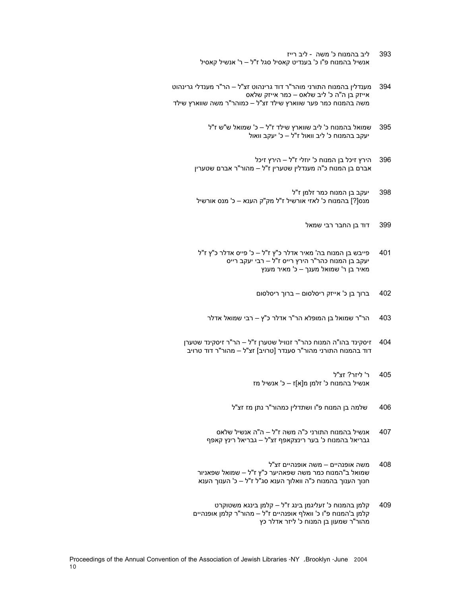- 393 ליב בהמנוח כ' משה ליב רייז אנשיל בהמנוח פ"ו כ' בענדיט קאסיל סגל ז"ל – ר' אנשיל קאסיל
- 394 מענדלין בהמנוח התורני מוהר"ר דוד גרינהוט זצ"ל הר"ר מענדלי גרינהוט אייזק בן ה"ה כ' ליב שלאס – כמר אייזק שלאס משה בהמנוח כמר פער שווארץ שילד זצ"ל – כמוהר"ר משה שווארץ שילד
	- 395 שמואל בהמנוח כ' ליב שווארץ שילד ז"ל כ' שמואל ש"ש ז"ל יעקב בהמנוח כ' ליב וואול ז"ל – כ' יעקב וואול
	- 396 הירץ זיכל בן המנוח כ' יוזלי ז"ל הירץ זיכל אברם בן המנוח כ"ה מענדלין שטערין ז"ל – מהור"ר אברם שטערין
	- 398 יעקב בן המנוח כמר זלמן ז"ל מנס[?] בהמנוח כ' לאזי אורשיל ז"ל מק"ק הענא – כ' מנס אורשיל
		- 399 דוד בן החבר רבי שמאל
	- <sup>401</sup>פייבש בן המנוח בה' מאיר אדלר <sup>כ</sup>"<sup>ץ</sup> <sup>ז</sup>"<sup>ל</sup> <sup>כ</sup>' פייס אדלר <sup>כ</sup>"<sup>ץ</sup> <sup>ז</sup>"<sup>ל</sup> יעקב בן המנוח כהר"ר הירץ רייס ז"ל – רבי יעקב רייס מאיר בן ר' שמואל מענך – כ' מאיר מענץ
		- 402 ברוך בן כ' אייזק ריסלסום ברוך ריסלסום
		- 403 הר"ר שמואל בן המופלא הר"ר אדלר כ"ץ רבי שמואל אדלר
	- 404 זיסקינד בהו"ה המנוח כהר"ר זנוויל שטערן ז"ל הר"ר זיסקינד שטערן דוד בהמנוח התורני מהור"ר סענדר [טרויב] זצ"ל – מהור"ר דוד טרויב
		- 405 ר' ליזר? זצ"ל אנשיל בהמנוח כ' זלמן מ[א]ז – כ' אנשיל מז
		- 406 שלמה בן המנוח פ"ו ושתדלין כמהור"ר נתן מז זצ"ל
		- 407 אנשיל בהמנוח התורני כ"ה משה ז"ל ה"ה אנשיל שלאס גבריאל בהמנוח כ' בער רינצקאפף זצ"ל – גבריאל רינץ קאפף
		- 408 משה אופנהיים משה אופנהיים זצ"ל שמואל ב"המנוח כמר משה שפאהיער כ"ץ ז"ל – שמואל שפאניור חנוך הענוך בהמנוח כ"ה וואלוך הענא סג"ל ז"ל – כ' הענוך הענא
		- 409 קלמן בהמנוח כ' זעליגמן בינג ז"ל קלמן בינגא משטוקרט קלמן ב'המנוח פ"ו כ' וואלף אופנהיים ז"ל – מהור"ר קלמן אופנהיים מהור"ר שמעון בן המנוח כ' ליזר אדלר כץ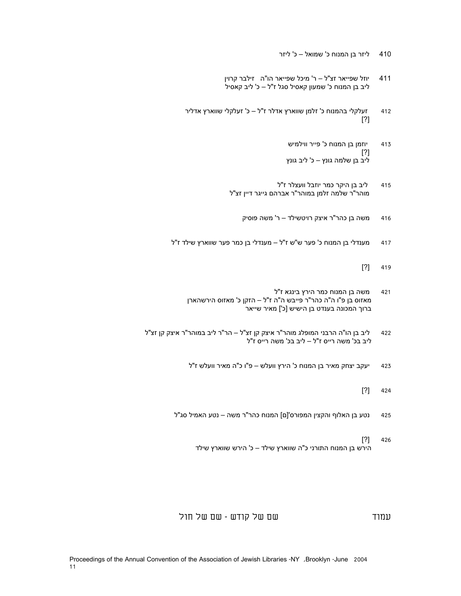- 410 ליזר בן המנוח כ' שמואל כ' ליזר
- 411 יוזל שפייאר זצ"ל ר' מיכל שפייאר הו"ה זילבר קרוין ליב בן המנוח כ' שמעון קאסיל סגל ז"ל – כ' ליב קאסיל
- 412 זעלקלי בהמנוח כ' זלמן שווארץ אדלר ז"ל כ' זעלקלי שווארץ אדליר [?]
	- 413 יוזמן בן המנוח כ' פייר ווילמיש [?] ליב בן שלמה גונץ – כ' ליב גונץ
	- 415 ליב בן היקר כמר יוזבל וועצלר ז"ל מוהר"ר שלמה זלמן במוהר"ר אברהם גייגר דיין זצ"ל
		- 416 משה בן כהר"ר איצק רויטשילד ר' משה פוסיק
- 417 מענדלי בן המנוח כ' פער ש"ש ז"ל מענדלי בן כמר פער שווארץ שילד ז"ל
	- [?] 419
	- 421 משה בן המנוח כמר הירץ בינגא ז"ל מאזוס בן פ"ו ה"ה כהר"ר פייבש ה"ה ז"ל – הזקן כ' מאזוס הירשהארן ברוך המכונה בענדט בן הישיש [כ'] מאיר שייאר
- 422 ליב בן הו"ה הרבני המופלג מוהר"ר איצק קן זצ"ל הר"ר ליב במוהר"ר איצק קן זצ"ל ליב בכ' משה רייס ז"ל – ליב בכ' משה רייס ז"ל
	- 423 יעקב יצחק מאיר בן המנוח כ' הירץ וועלש פ"ו כ"ה מאיר וועלש ז"ל
		- [?] 424
	- 425 נטע בן האלוף והקצין המפורס'[ם] המנוח כהר"ר משה נטע האמיל סג"ל
		- [?] 426 הירש בן המנוח התורני כ"ה שווארץ שילד – כ' הירש שווארץ שילד

עמוד שם של קודש - שם של חול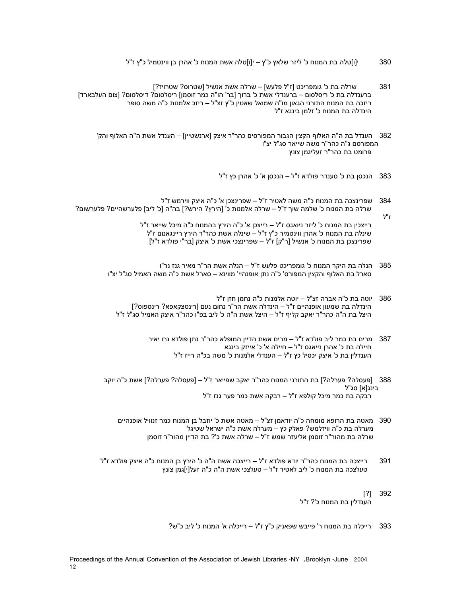- 380 י[ו]טלה בת המנוח כ' ליזר שלאץ כ"ץ י[ו]טלה אשת המנוח כ' אהרן בן ווינטמיל כ"ץ ז"ל
- 381 שרלה בת כ' גומפריכט [ז"ל פלעש] שרלה אשת אנשיל [שטרוס? שטרויז?] ברענדלה בת כ' ריסלסום – ברענדלי אשת כ' ברוך [בר' הו"ה כמר זוסמן] ריסלסום? דיסלסום? [צום העלבארד] ריזכה בת המנוח התורני הגאון מו"ה שמואל שאטין כ"ץ זצ"ל – ריזכ אלמנות כ"ה משה סופר הינדלה בת המנוח כ' זלמן בינגא ז"ל
	- 382 הענדל בת ה"ה האלוף הקצין הגבור המפורסים כהר"ר איצק [ארנשטיין] הענדל אשת ה"ה האלוף והק' המפורסם ג"ה כהר"ר משה שייאר סג"ל יצ"ו פרומט בת כהר"ר זעליגמן צונץ
		- 383 הנכסן בת כ' סענדר פולדא ז"ל הנכסן א' כ' אהרן כץ ז"ל
- 384 שפרינצכה בת המנוח כ"ה משה לאטיר ז"ל שפרינצכן א' כ"ה איצק ווירמש ז"ל שרלה בת המנוח כ' שלמה שוך ז"ל – שרלה אלמנות כ' [הירץ? הירש?] בה"ה [כ' ליב] פלערשהיים? פלערשום?

ז"ל

 רייצכין בת המנוח כ' ליזר ניואגס ז"ל – רייצכן א' כ"ה הירץ בהמנוח כ"ה מיכל שייאר ז"ל שינלה בת המנוח כ' אהרן ווינטמיר כ"ץ ז"ל – שינלה אשת כהר"ר הירץ ריינגאנום ז"ל שפרינצכן בת המנוח כ' אנשיל [ר"ק] ז"ל – שפרינצכי אשת כ' איצק [בר"י פולדא ז"ל]

- 385 הנלה בת היקר המנוח כ' גומפריכט פלעש ז"ל הנלה אשת הר"ר מאיר גנז נר"ו סארל בת האלוף והקצין המפורס' כ"ה נתן אופנהיי' מווינא – סארל אשת כ"ה משה האמיל סג"ל יצ"ו
	- 386 יוטה בת כ"ה אברה זצ"ל יוטה אלמנות כ"ה נחמן חזן ז"ל הינדלה בת שמעון אופנהיים ז"ל – הינדלה אשת הר"ר נחום נעם [רינטצקאפא? רינספוס?] היצל בת ה"ה כהר"ר יאקב קליף ז"ל – היצל אשת ה"ה כ' ליב בפ"ו כהר"ר איצק האמיל סג"ל ז"ל
		- 387 מרים בת כמר ליב פולדא ז"ל מרים אשת הדיין המופלא כהר"ר נתן פולדא נרו יאיר חיילה בת כ' אהרן נייאגס ז"ל – חיילה א' כ' אייזק בינגא הענדלין בת כ' איצק יכסיל כץ ז"ל – הענדלי אלמנות כ' משה בכ"ה רייז ז"ל
- 388 [פעסלה? פערלה?] בת התורני המנוח כהר"ר יאקב שפייאר ז"ל [פעסלה? פערלה?] אשת כ"ה יוקב בינג[א] סג"ל רבקה בת כמר מיכל קולפא ז"ל – רבקה אשת כמר פער גנז ז"ל
	- 390 מאטה בת הרופא מומחה כ"ה יודאמן זצ"ל מאטה אשת כ' יוזבל בן המנוח כמר זנוויל אופנהיים מערלה בת כ"ה וויזלמש? פאלק כץ – מערלה אשת כ"ה ישראל שטיגל שרלה בת מהור"ר זוסמן אליעזר שמש ז"ל – שרלה אשת כ'? בת הדיין מהור"ר זוסמן
- 391 רייצכה בת המנוח כהר"ר יודא פולדא ז"ל רייצכה אשת ה"ה כ' הירץ בן המנוח כ"ה איצק פולדא ז"ל טעלצכה בת המנוח כ' ליב לאטיר ז"ל – טעלצכי אשת ה"ה כ"ה זעל[י]גמן צונץ
	- [?] 392 הענדלין בת המנוח כ'? ז"ל
	- 393 רייכלה בת המנוח ר' פייבש שפאניק כ"ץ ז"ל רייכלה א' המנוח כ' ליב כ"ש?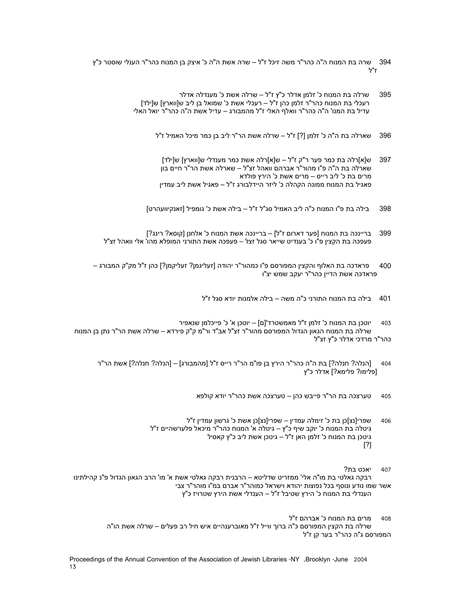- 394 שרה בת המנוח ה"ה כהר"ר משה זיכל ז"ל שרה אשת ה"ה כ' איצק בן המנוח כהר"ר הענלי שוסטר כ"ץ ז"ל
	- 395 שרלה בת המנוח כ' זלמן אדלר כ"ץ ז"ל שרלה אשת כ' מענדלה אדלר רעכלי בת המנוח כהר"ר זלמן כהן ז"ל – רעכלי אשת כ' שמואל בן ליב ש[ווארץ] ש[ילד] עדיל בת המנו' ה"ה כהר"ר וואלף האלי ז"ל מהמבורג – עדיל אשת ה"ה כהר"ר יואל האלי
		- 396 שארלה בת ה"ה כ' זלמן [?] ז"ל שרלה אשת הר"ר ליב בן כמר מיכל האמיל ז"ל
			- 397 ש[א]רלה בת כמר פער ר"ק ז"ל ש[א]רלה אשת כמר מענדלי ש[ווארץ] ש[ילד] שארלה בת ה"ה פ"ו מהור"ר אברהם וואהל זצ"ל – שארלה אשת הר"ר חיים בון מרים בת כ' ליב רייס – מרים אשת כ' הירץ פולדא פאגיל בת המנוח ממונה הקהלה כ' ליזר היידלבורג ז"ל – פאגיל אשת ליב עמדין
		- 398 בילה בת פ"ו המנוח כ"ה ליב האמיל סג"ל ז"ל בילה אשת כ' גומפיל [זאנקיוועהרט]
	- 399 בריינכה בת המנוח [פער דארום ז"ל] בריינכה אשת המנוח כ' אלחנן [קוסא? רינג?] פעפכה בת הקצין פ"ו כ' בענדיט שייאר סגל זצל – פעפכה אשת התורני המופלא מהו' אלי וואהל זצ"ל
- 400 פראדכה בת האלוף והקצין המפורסם פ"ו כמהור"ר יהודה [זעליגמן? זעליקמן?] כהן ז"ל מק"ק המבורג פראדכה אשת הדיין כהר"ר יעקב שמש יצ"ו
	- 401 בילה בת המנוח התורני כ"ה משה בילה אלמנות יודא סגל ז"ל
- 403 יוטכן בת המנוח כ' זלמן ז"ל מאמשטרד'[ם] יוטכן א' כ' פייכלמן שנאפיר שרלה בת המנוח הגאון הגדול המפורסם מהור"ר זצ"ל אב"ד ור"מ ק"ק פירדא – שרלה אשת הר"ר נתן בן המנוח כהר"ר מרדכי אדלר כ"ץ זצ"ל
	- 404 [הנלה? חנלה?] בת ה"ה כהר"ר הירץ בן פו"מ הר"ר רייס ז"ל [מהמבורג] [הנלה? חנלה?] אשת הר"ר [פלימו? פלימא?] אדלר כ"ץ
		- 405 טערצכה בת הר"ר פייבש כהן טערצכה אשת כהר"ר יודא קולפא
		- 406 שפרי[נצ]כן בת כ' זימלה עמדין שפרי[נצ]כן אשת כ' גרשון עמדין ז"ל גיטלה בת המנוח כ' יוקב שיף כ"ץ – גיטלה א' המנוח כהר"ר מיכאל פלערשהיים ז"ל גיטכן בת המנוח כ' זלמן האן ז"ל – גיטכן אשת ליב כ"ץ קאסיל [?]
			- 407 יאכט בת?
- רבקה גאלטי בת מו"ה אלי' ממזריט שדליטא הרבנית רבקה גאלטי אשת א' מו' הרב הגאון הגדול פ"נ קהילתינו אשר שמו נודע ונוסף בכל נפוצות יהודא וישראל כמוהר"ר אברם במ"ו מוהר"ר צבי הענדלי בת המנוח כ' הירץ שטיבל ז"ל – הענדלי אשת הירץ שטרויז כ"ץ
	- 408 מרים בת המנוח כ' אברהם ז"ל שרלה בת הקצין המפורסם כ"ה ברוך ווייל ז"ל מאוברענהיים איש חיל רב פעלים – שרלה אשת הו"ה המפורסם ג"ה כהר"ר בער קן ז"ל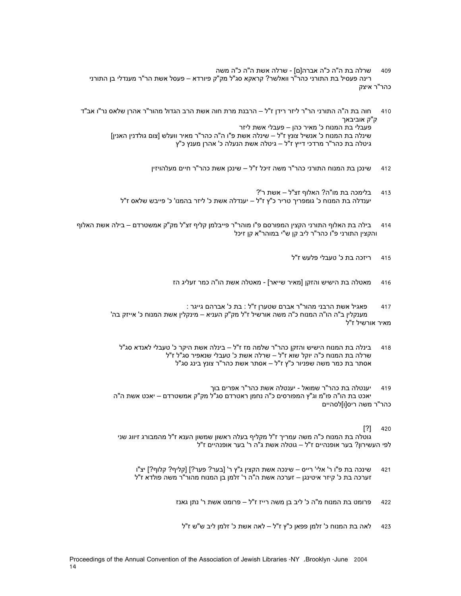- 409 שרלה בת ה"ה כ"ה אברה[ם] שרלה אשת ה"ה כ"ה משה רינה פעסיל בת התורני כהר"ר וואלשר? קראקא סג"ל מק"ק פיורדא – פעסל אשת הר"ר מענדלי בן התורני כהר"ר איצק
- 410 חוה בת ה"ה התורני הר"ר ליזר רידן ז"ל הרבנת מרת חוה אשת הרב הגדול מהור"ר אהרן שלאס נר"ו אב"ד ק"ק אוביבאך פעבלי בת המנוח כ' מאיר כהן – פעבלי אשת ליזר שינלה בת המנוח כ' אנשיל צונץ ז"ל – שינלה אשת פ"ו ה"ה כהר"ר מאיר וועלש [צום גולדנין האנין] גיטלה בת כהר"ר מרדכי דייץ ז"ל – גיטלה אשת הנעלה כ' אהרן מענץ כ"ץ
	- 412 שינכן בת המנוח התורני כהר"ר משה זיכל ז"ל שינכן אשת כהר"ר חיים מעלהויזין
	- 413 בלימכה בת מו"ה? האלוף זצ"ל אשת ר'? יענדלה בת המנוח כ' גומפריך טריר כ"ץ ז"ל – יענדלה אשת כ' ליזר בהמנו' כ' פייבש שלאס ז"ל
- 414 בילה בת האלוף התורני הקצין המפורסם פ"ו מוהר"ר פייבלמן קליף זצ"ל מק"ק אמשטרדם בילה אשת האלוף והקצין התורני פ"ו כהר"ר ליב קן ש"י במוהר"א קן זיכל
	- 415 ריזכה בת כ' טעבלי פלעש ז"ל
	- 416 מאטלה בת הישיש והזקן [מאיר שייאר] מאטלה אשת הו"ה כמר זעליג הז

```
417 פאגיל אשת הרבני מהור"ר אברם שטערן ז"ל : בת כ' אברהם גייגר : 
מענקלין ב"ה הו"ה המנוח כ"ה משה אורשיל ז"ל מק"ק העניא – מינקלין אשת המנוח כ' אייזק בה' 
                                                                             מאיר אורשיל ז"ל
```
- 418 בינלה בת המנוח הישיש והזקן כהר"ר שלמה מז ז"ל בינלה אשת היקר כ' טעבלי לאנדא סג"ל שרלה בת המנוח כ"ה יוקל שוא ז"ל – שרלה אשת כ' טעבלי שנאפיר סג"ל ז"ל אסתר בת כמר משה שפניור כ"ץ ז"ל – אסתר אשת כהר"ר צונץ בינג סג"ל
- 419 יענטלה בת כהר"ר שמואל יענטלה אשת כהר"ר אפרים בוך יאכט בת הו"ה פו"מ וג"ץ המפורסים כ"ה נחמן ראטרדם סג"ל מק"ק אמשטרדם – יאכט אשת ה"ה כהר"ר משה ריס[ו]לסהיים
	- [?] 420

 גוטלה בת המנוח כ"ה משה עמריך ז"ל מקליף בעלה ראשון שמשון הענא ז"ל מהמבורג זיווג שני לפי העשירון? בער אופנהיים ז"ל – גוטלה אשת ג"ה ר' בער אופנהיים ז"ל

- 421 שינכה בת פ"ו ר' אלי' רייס שינכה אשת הקצין ג"ץ ר' [בער? פער?] [קליף? קלוף?] יצ"ו זערכה בת כ' קיזר איטינגן – זערכה אשת ה"ה ר' זלמן בן המנוח מהור"ר משה פולדא ז"ל
	- 422 פרומט בת המנוח מ"ה כ' ליב בן משה רייז ז"ל פרומט אשת ר' נתן גאנז
		- 423 לאה בת המנוח כ' זלמן פפאן כ"ץ ז"ל לאה אשת כ' זלמן ליב ש"ש ז"ל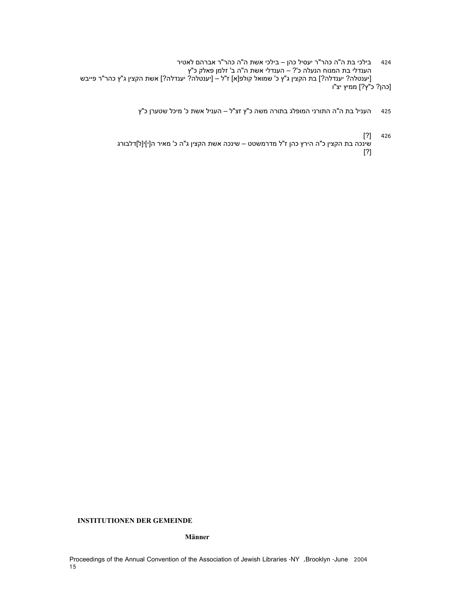- 424 בילכי בת ה"ה כהר"ר יעסיל כהן בילכי אשת ה"ה כהר"ר אברהם לאטיר הענדלי בת המנוח הנעלה כ'? – הענדלי אשת ה"ה ב' זלמן פאלק כ"ץ [יענטלה? יענדלה?] בת הקצין ג"ץ כ' שמואל קולפ[א] ז"ל – [יענטלה? יענדלה?] אשת הקצין ג"ץ כהר"ר פייבש [כהן? כ"ץ?] ממיץ יצ"ו
	- 425 העניל בת ה"ה התורני המופלג בתורה משה כ"ץ זצ"ל העניל אשת כ' מיכל שטערן כ"ץ
	- [?] 426 שינכה בת הקצין כ"ה הירץ כהן ז"ל מדרמשטט – שינכה אשת הקצין ג"ה כ' מאיר ה[י]י[ל]דלבורג [?]

#### **INSTITUTIONEN DER GEMEINDE**

#### **Männer**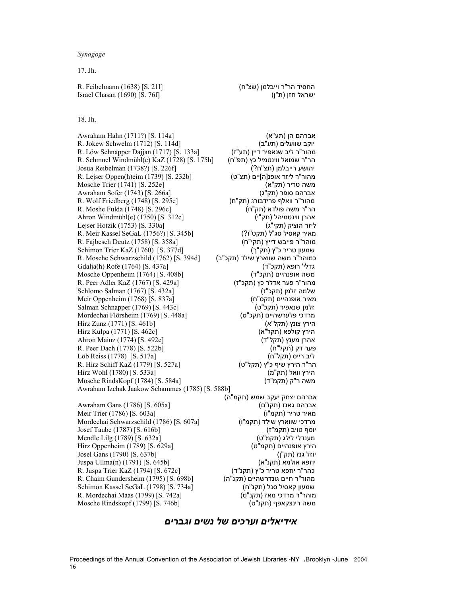*Synagoge* 

17. Jh.

החסיד הר"ר וייבלמן (שצ"ח) [S. 211] R. Feibelmann (1638) [S. 211] ישראל חזן (ת"ן) [S. 76f] [S. 76f] [1690] [S. 76f] [1690] [S. 76f]

#### 18. Jh.

Awraham Hahn (1711?) [S. 114a] (תע"א) (K. 114a .S.) אברהם הן (תע"א וקב שוועלים (תע"ב) (R. Jokew Schwelm (1712) [S. 114d]<br>מהור"ר ליב שנאפיר דיין (תע"ז) (תע"ז) (R. Löw Schnapper Dajjan (1717) [S. 133a] R. Löw Schnapper Dajjan (1717) [S. 133a] הר"ר שמואל ווינטמיל כץ (תפ"ח) [S. 175h] הר"ר שמואל ווינטמיל כץ (תפ"ח) יהושע רייבלמן (תצ"ח?) [S. 226f] . [1738 . [1738] Josua Reibelman (1738?) מהור"ר ליזר אופנ[ה]יים (תצ"ט) [S. 232b] [6] [1739] R. Lejser Oppen(h)eim (1739) משה טריר (תק"א) [S. 252e] . [1741 ...] [S. 252e] . [1741 ...] [S. 252e] . [1741 ...] . [18] ...] . [19] ...] . אברהם סופר (תק"ג) [S. 266a] . [all only alwraham Sofer (1743) מהור"ר וואלף פרידבורג (תק"ח) [S. 295e] [S. 295e] מהור"ר וואלף פרידבורג הר"ר משה פולדא (תק"ח) [S. 296c] . [1748 [1748] [S. 296c] . [1748] [S. 296c] . [1748] [S. 296c] . [17] . [17]  $\sigma$ Ahron Windmühl(e) (1750) [S. 312e] אהרן ווינטמיהל (תק"י) ליזר הוציק (תקי"ג) [S. 330a] . [1753] [S. 330a] . [1753] [S. 330a] . [1753] [S. 330a] . [1753] [Egser Hotzik ( R. Meir Kassel SeGaL (1756?) [S. 345b] מאיר קאסיל סג"ל (תקט"ו?) מוהר"ר פייבש דייץ (תקי"ח) [S. 358a] . [a] [asseh Deutz (1758 [S. 358a] שמעון טריר כ"ץ (תק"ך) [S. 377d] . [5. 377d] . [1760 . [1760 ] [S. 377d] . [1760 ] . [1760 ] . [1760 ] . [1760 ר מוהר"ר משה שווארץ שילד (תקכ"ב) [S. 394d] [G394 .Schwarzschild (1762) Gdalja(h) Rofe (1764) [S. 437a] (ד"תקכ (רופא' גדלי משה אופנהיים (תקכ"ד) [S. 408b] [S. 408b] [1764] Mosche Oppenheim (1764) מהור"ר פער אדלר כץ (תקכ"ז) [S. 429a] . [1767] R. Peer Adler KaZ (1767) שלמה זלמן (תקכ"ז) [S. 432a] . [1767] . [1767] . [1767] Schlomo Salman (1767) מאיר אופנהיים (תקס"ח) [S. 837a] . [a837a] . [assum oppenheim (1768) זלמן שנאפיר (תקכ"ט) [c443 .S) [1769 (Schnapper Salman  $M$ ardechai Flörsheim (1769) [S. 448a] [31769] (מקכ"ט) [1769 (Flörsheim Mordechai Flörsheim ( הירץ צונץ (תקל"א) [b461 .S) [1771 (Zunz Hirz הירץ קולפא (תקל"א) [S. 462c] . [S. 462c] . [1771] [S. 462c] .  $\Delta$ Ahron Mainz (1774) [S. 492 c]  $\Delta$ אהרן מענץ (תקל"ד) R. Peer Dach (1778) [S. 522b] (ח"תקל (דק פער  $L$ öb Reiss (1778) [S. 517a]  $(1778)$   $[5.517a]$ הר"ר הירץ שיף כ"ץ (תקל"ט) [S. 527a] . הר"ר הירץ שיף כ"ץ (תקל"ט) הירץ וואל (תק"מ) [S. 533a] ... [1780] [S. 533a] משה ר"ק (תקמ"ד) [S. 584a] . [S. 584a] [andsKopf (1784) [S. 584a] Awraham Izchak Jaakow Schammes (1785) [S. 588b] Awraham Gans (1786) [S. 605a] **[accel] Awraham Gans (1786 (Gans Awraham Gans Awraham Cans Awraham Constant)** 

אברהם יצחק יעקב שמש (תקמ"ה) מאיר טריר (תקמ"ו) [S. 603a] . [1786] [S. 603a] מרדכי שווארץ שילד (תקמ"ו) [S. 607a] [3786 Mordechai Schwarzschild (1786) יוסף טויב (תקמ"ז) [S. 616b] [S. 616b] [1787 (תקמ"ז) מענדלי לילג (תקמ"ט) [S. 632a] . [1789] [S. 632a] הירץ אופנהיים (תקמ"ט) [S. 629a] . [5.629a] . [1789] [S. 629a] יוזל גנז (תק"ן) [S. 637b] ... [dosel Gans (1790) [S. 637b]  $J$ Ullma(n) (1791) [S. 645b] (אולמא (תקנ"א) (אולמא (תקנ"א) כהר"ר יוזפא טריר כ"ץ (תקנ"ד) [S. 672c] [S. 672c] [Cn] [1794 (R. Juspa Trier KaZ (1794) מהור"ר חיים גונדרשהיים (תקנ"ה) [S. 698b] . [1795] R. Chaim Gundersheim (1795) שמעון קאסיל סגל (תקנ"ח) [a734 .S) [1798 (SeGaL Kassel Schimon מוהר"ר מרדכי מאז (תקנ"ט) [S. 742a] [S. 742a] [1799 (תקנ"ט) . משה רינצקאפף (תקנ"ט) [b746 .S) [1799 (Rindskopf Mosche

Proceedings of the Annual Convention of the Association of Jewish Libraries -NY ,Brooklyn -June 2004

*אידיאלים וערכים של נשים וגברים*

16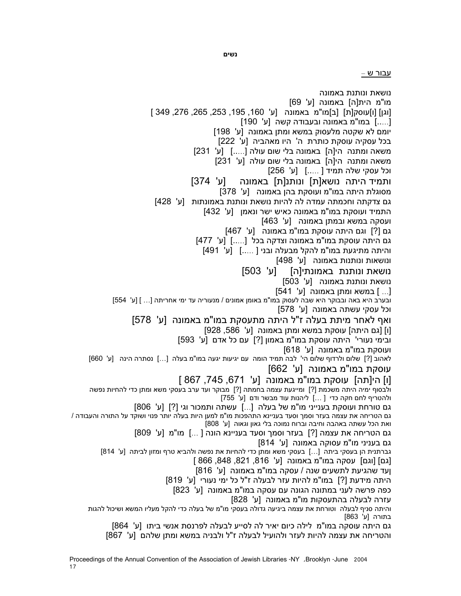עבור ש –

נושאת ונותנת באמונה מו"מ הית[ה] באמונה [ע' 69] [וגן] [ו]עוסק[ת] [ב]מו"מ באמונה [ע' ,160 ,195 ,253 ,265 ,276 349 ] [.....] במו"מ באמונה ובעבודה קשה [ע' 190] יומם לא שקטה מלעסוק במשא ומתן באמונה [ע' 198] בכל עסקיה עוסקת כותרת ה' היו מאהביה [ע' 222] משאה ומתנה הי[ה] באמונה בלי שום עולה [.....] [ע' 231] משאה ומתנה הי[ה] באמונה בלי שום עולה [ע' 231] וכל עסקי שלה תמיד [ .....] [ע' 256] ותמיד היתה נושא[ת] ונותנ[ת] באמונה [ע' 374] מסוגלת היתה במו"מ ועוסקת בהן באמונה [ע' 378] גם צדקתה וחכמתה עמדה לה להיות נושאת ונותנת באמונתות [ע' 428] התמיד ועוסקת במו"מ באמונה כאיש ישר ונאמן [ע' 432] ועסקה במשא ובמתן באמונה [ע' 463] גם [?] וגם היתה עוסקת במו"מ באמונה [ע' 467] גם היתה עוסקת במו"מ באמונה וצדקה בכל [.....] [ע' 477] והיתה מתיגעת במו"מ להקל מבעלה ובני [ .....] [ע' 491] ונושאות ונותנות באמונה [ע' 498] נושאת ונותנת באמונתי[ה] [ע' 503] נושאת ונותנת באמונה [ע' 503] [... ] במשא ומתן באמונה [ע' 541]<br>ובערב היא באה ובבוקר היא שבה לעסוק במו"מ באומן אמונים / מנעוריה עד ימי אחריתה [... ] [ע' 554] וכל עסקי עשתה באמונה [ע' 578] ואף לאחר מיתת בעלה ז"ל היתה מתעסקת במו"מ באמונה [ע' 578] [ו] [גם היתה] עוסקת במשא ומתן באמונה [ע' ,586 928] ובימי נעורי' היתה עוסקת במו"מ באמון [?] עם כל אדם [ע' 593] לאהוב [?] שלום ולרדוף שלום הי' לבה תמיד הומה עם יגיעות יגעה במו"מ בעלה [...] נסתרה הינה [ע' 660] עוסקת במו"מ באמונה [ע' 662] [ו] הי[תה] עוסקת במו"מ באמונה [ע' ,671 ,745 867 ] ולבסוף ימיה היתה משכמת [?] ומייגעת עצמה בחמתה [?] מבוקר ועד ערב בעסקי משא ומתן כדי להחיות נפשה ולהטריף לחם חקה כדי [ ...] ליהנות עוד מבשר ודם [ע' 755] גם טורחת ועוסקת בענייני מו"מ של בעלה [...] עשתה ותמכור וגי [?] [ע' 806] גם הטריחה את עצמה בעזר וסמך וסעד בעניינא התהפכות מו"מ למען היות בעלה יותר פנוי ושוקד על התורה והעבודה / ואת הכל עשתה באהבה וחיבה וברוח נמוכה בלי גאון וגאוה [ע' 808] גם הטריחה את עצמה [?] בעזר וסמך וסעד בעניינא הונה [ ...] מו"מ [ע' 809] גם בעניני מו"מ עסוקה באמונה [ע' 814]<br>גברתנית הן בעסקי ביתה [...] בעסקי משא ומתן כדי להחיות את נפשה ולהביא טרף ומזון לביתה [ע' 814] [גם] [וגם] עסקה במו"מ באמונה [ע' ,816 ,821 ,848 866 ] ןעד שהגיעת לתשעים שנה / עסקה במו"מ באמונה [ע' 816] היתה מידעת [?] במו"מ להיות עזר לבעלה ז"ל כל ימי נעורי [ע' 819] כפה פרשה לעני במתונה הגונה עם עסקה במו"מ באמונה [ע' 823] עזרה לבעלה בהתעסקות מו"מ באמונה [ע' 828] והיתה סניף לבעלה וטורחת את עצמה ביגיעה גדולה בעסקי מו"מ של בעלה כדי להקל מעליו המשא ושיכול להגות בתורה [ע' 863] גם היתה עוסקה במו"מ לילה כיום יאיר לה לסייע לבעלה לפרנסת אנשי ביתו [ע' 864] והטריחה את עצמה להיות לעזר ולהועיל לבעלה ז"ל ולבניה במשא ומתן שלהם [ע' 867]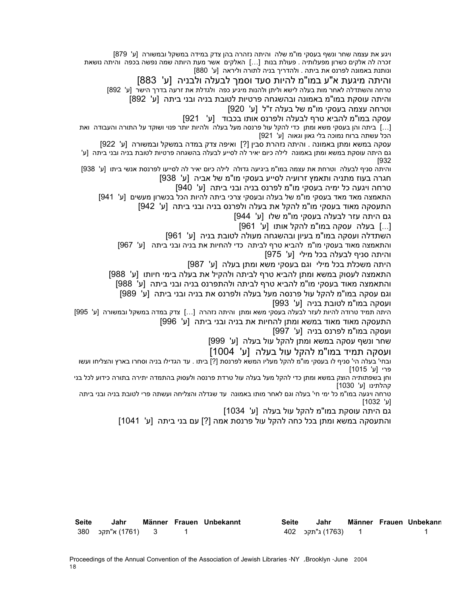ויגע את עצמה שחר ונשף בעסקי מו"מ שלה והיתה נזהרה בהן צדק במידה במשקל ובמשורה [ע' 879] זכרה לה אלקים כשרון מפעלותיה . פעולת בנות [...] האלקים אשר מעת היותה שמה נפשה בכפה והיתה נושאת ונותנת באמונה לפרנס את ביתה . ולהדריך בניה לתורה וליראה [ע' 880]

והיתה מיגעת א"ע במו"מ להיות סעד וסמך לבעלה ולבניה [ע' 883]<br>טרחה והשתדלה לאחר מות בעלה לישא וליתן ולהנות מיגיע כפה ולגדלת את זרעה בדרך הישר [ע' 892]

והיתה עוסקת במו"מ באמונה ובהשגחה פרטיות לטובת בניה ובני ביתה [ע' 892]

וטרחה עצמה בעסקי מו"מ של בעלה ז"ל [ע' 920]

עסקה במו"מ להביא טרף לבעלה ולפרנס אותו בכבוד [ע' 921]

[...] ביתה והן בעסקי משא ומתן כדי להקל עול פרנסה מעל בעלה ולהיות יותר פנוי ושוקד על התורה והעבודה ואת הכל עשתה ברוח נמוכה בלי גאון וגאוה [ע' 921]

עסקה במשא ומתן באמונה . והיתה נזהרת סבין [?] ואיפה צדק במדה במשקל ובמשורה [ע' 922]

גם היתה עוסקת במשא ומתן באמונה לילה כיום יאיר לה לסייע לבעלה בהשגחה פרטיות לטובת בניה ובני ביתה [ע' [932

והיתה סניף לבעלה וטרחת את עצמה במו"מ ביגיעה גדולה לילה כיום יאיר לה לסייעו לפרנסת אנשי ביתו [ע' 938] חגרה בעוז מתניה ותאמץ זרועיה לסייע בעסקי מו"מ של אביה [ע' 938]

טרחה ויגעה כל ימיה בעסקי מו"מ לפרנס בניה ובני ביתה [ע' 940]

התאמצה מאד מאד בעסקי מו"מ של בעלה ובעסקי צרכי ביתה להיות הכל בכשרון מעשים [ע' 941]

התעסקה מאוד בעסקי מו"מ להקל את בעלה ולפרנס בניה ובני ביתה [ע' 942]

גם היתה עזר לבעלה בעסקי מו"מ שלו [ע' 944]

[...] בעלה עסקה במו"מ להקל אותו [ע' 961]

השתדלה ועסקה במו"מ בעיון ובהשגחה מעולה לטובת בניה [ע' 961]

והתאמצה מאוד בעסקי מו"מ להביא טרף לביתה כדי להחיות את בניה ובני ביתה [ע' 967] והיתה סניף לבעלה בכל מילי [ע' 975]

היתה משכלת בכל מילי וגם בעסקי משא ומתן בעלה [ע' 987]

התאמצה לעסוק במשא ומתן להביא טרף לביתה ולהקיל את בעלה בימי חיותו [ע' 988]

והתאמצה מאוד בעסקי מו"מ להביא טרף לביתה ולהתפרנס בניה ובני ביתה [ע' 988]

וגם עסקה במו"מ להקל עול פרנסה מעל בעלה ולפרנס את בניה ובני ביתה [ע' 989]

ועסקה במו"מ לטובת בניה [ע' 993]<br>היתה תמיד טרודה להיות לעזר לבעלה בעסקי משא ומתן והיתה נזהרה […] צדק במדה במשקל ובמשורה [ע' 995] התעסקה מאוד מאוד במשא ומתן להחיות את בניה ובני ביתה [ע' 996]

ועסקה במו"מ לפרנס בניה [ע' 997]

שחר ונשף עסקה במשא ומתן להקל עול בעלה [ע' 999]

ועסקה תמיד במו"מ להקל עול בעלה [ע' 1004]

ובחי' בעלה הי' סניף לו בעסקי מו"מ להקל מעליו המשא לפרנסת [?] ביתו . עד הגדילו בניה וסחרו בארץ והצליחו ועשו פרי [ע' 1015]

וחן בשפתותיה הוצק במשא ומתן כדי להקל מעל בעלה עול טרדת פרנסה ולעסוק בהתמדה יתירה בתורה כידוע לכל בני קהלתינו [ע' 1030]

טרחה ויגעה במו"מ כל ימי חי' בעלה וגם לאחר מותו באמונה עד שגדלה והצליחה ועשתה פרי לטובת בניה ובני ביתה [ע' 1032]

גם היתה עוסקת במו"מ להקל עול בעלה [ע' 1034]

והתעסקה במשא ומתן בכל כחה להקל עול פרנסת אמה [?] עם בני ביתה [ע' 1041]

| <b>Seite</b> | Jahr               |  | Männer Frauen Unbekannt | Seite | Jahr             |  | Männer Frauen Unbekann |
|--------------|--------------------|--|-------------------------|-------|------------------|--|------------------------|
|              | 3 (1761) א"תקכ 380 |  |                         |       | (1763) ג"תקכ 402 |  |                        |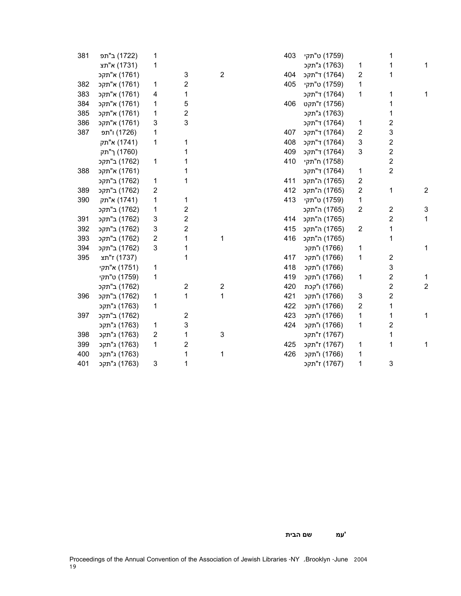| 381 | (1722) ב"תפ  | 1 |                         |                | 403 | ט"תקי") ט     |                         |                         |   |
|-----|--------------|---|-------------------------|----------------|-----|---------------|-------------------------|-------------------------|---|
|     | א"תצ) א"ת    | 1 |                         |                |     | (1763) ג"תקכ  | 1                       | 1                       |   |
|     | א"תקכ) א"ת   |   | 3                       | $\overline{c}$ | 404 | (1764) ד"תקכ  | 2                       | 1                       |   |
| 382 | א"תקכ) א"ת   | 1 | 2                       |                | 405 | ט"תקי") ט     | 1                       |                         |   |
| 383 | א"תקכ (1761) | 4 | 1                       |                |     | (1764) ד"תקכ  | 1                       | 1                       |   |
| 384 | א"תקכ) א"ת   | 1 | 5                       |                | 406 | (1756) ז"תקט  |                         | 1                       |   |
| 385 | א"תקכ) א"    | 1 | 2                       |                |     | (1763) ג"תקכ  |                         | 1                       |   |
| 386 | א"תקכ (1761) | 3 | 3                       |                |     | (1764) ד"תקכ  | 1                       | $\overline{2}$          |   |
| 387 | (1726) ו"תפ  | 1 |                         |                | 407 | (1764) ד"תקכ  | 2                       | 3                       |   |
|     | (1741) א"תק  | 1 | 1                       |                | 408 | (1764) ד"תקכ  | 3                       | $\mathbf 2$             |   |
|     | (1760) ך"תק  |   | 1                       |                | 409 | (1764) ד"תקכ  | 3                       | $\overline{\mathbf{c}}$ |   |
|     | (1762) ב"תקכ | 1 | 1                       |                | 410 | (1758) ח"תקי  |                         | $\overline{c}$          |   |
| 388 | (1761) א"תקכ |   | 1                       |                |     | (1764) ד"תקכ  | 1                       | $\overline{2}$          |   |
|     | (1762) ב"תקכ | 1 | 1                       |                | 411 | (1765) ה"תקכ  | 2                       |                         |   |
| 389 | ב"תקכ") ב    | 2 |                         |                | 412 | (1765) ה"תקכ  | $\overline{\mathbf{c}}$ | 1                       | 2 |
| 390 | (1741) א"תק  | 1 | 1                       |                | 413 | ט"תקי" (1759) | 1                       |                         |   |
|     | (1762) ב"תקכ | 1 | 2                       |                |     | (1765) ה"תקכ  | 2                       | $\overline{\mathbf{c}}$ | 3 |
| 391 | (1762) ב"תקכ | 3 | 2                       |                | 414 | (1765) ה"תקכ  |                         | 2                       | 1 |
| 392 | (1762) ב"תקכ | 3 | $\overline{\mathbf{c}}$ |                | 415 | (1765) ה"תקכ  | $\overline{\mathbf{c}}$ | 1                       |   |
| 393 | (1762) ב"תקכ | 2 | 1                       | 1              | 416 | (1765) ה"תקכ  |                         | 1                       |   |
| 394 | (1762) ב"תקכ | 3 | 1                       |                |     | (1766) ו"תקכ  | 1                       |                         |   |
| 395 | (1737) ז"תצ  |   | 1                       |                | 417 | ו"תקכ" (1766) | 1                       | $\mathbf 2$             |   |
|     | א"תקי (1751) | 1 |                         |                | 418 | (1766) ו"תקכ  |                         | 3                       |   |
|     | ט"תקי") ט    | 1 |                         |                | 419 | (1766) ו"תקכ  | 1                       | $\overline{\mathbf{c}}$ |   |
|     | (1762) ב"תקכ |   | $\boldsymbol{2}$        | 2              | 420 | (1766) ו"קכת  |                         | $\overline{2}$          | 2 |
| 396 | (1762) ב"תקכ | 1 | 1                       | 1              | 421 | (1766) ו"תקכ  | 3                       | $\overline{\mathbf{c}}$ |   |
|     | (1763) ג"תקכ | 1 |                         |                | 422 | (1766) ו"תקכ  | 2                       | 1                       |   |
| 397 | (1762) ב"תקכ |   | $\boldsymbol{2}$        |                | 423 | (1766) ו"תקכ  | 1                       | 1                       |   |
|     | (1763) ג"תקכ | 1 | 3                       |                | 424 | ו"תקכ) ו"תקכ  | 1                       | $\overline{2}$          |   |
| 398 | (1763) ג"תקכ | 2 | 1                       | 3              |     | (1767) ז"תקכ  |                         | 1                       |   |
| 399 | (1763) ג"תקכ | 1 | 2                       |                | 425 | (1767) ז"תקכ  | 1                       | 1                       |   |
| 400 | (1763) ג"תקכ |   | 1                       | 1              | 426 | (1766) ו"תקכ  | 1                       |                         |   |
| 401 | (1763) ג"תקכ | 3 | 1                       |                |     | (1767) ז"תקכ  | 1                       | 3                       |   |

**'עמ שם הבית**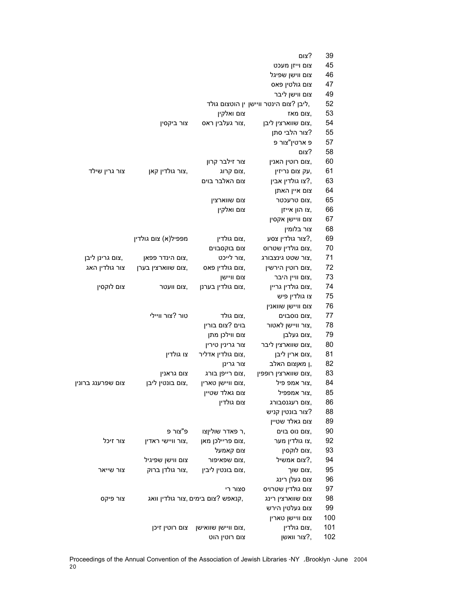|                   |                     |                                   | צום?                                   | 39  |
|-------------------|---------------------|-----------------------------------|----------------------------------------|-----|
|                   |                     |                                   | צום וייזן מעכט                         | 45  |
|                   |                     |                                   | צום ווישן שפיגל                        | 46  |
|                   |                     |                                   | צום גולטין פאס                         | 47  |
|                   |                     |                                   | צום ווישן ליבר                         | 49  |
|                   |                     |                                   | ליבן ?צום הינטר וויישן ין הוטצום גולד, | 52  |
|                   |                     | צום ואלקין                        | צום מאז,                               | 53  |
|                   | צור ביקסין          | צור געלבין ראס,                   | צום שווארצין ליבן,                     | 54  |
|                   |                     |                                   | צור הלבי סתן?                          | 55  |
|                   |                     |                                   | פ ארטין"צור פ                          | 57  |
|                   |                     |                                   | צום?                                   | 58  |
|                   |                     | צור זילבר קרון                    | צום רוטין האנין,                       | 60  |
| צור גרין שילד     | צור גולדין קאן,     | צום קרוג,                         | עק צום נריזין,                         | 61  |
|                   |                     | צום האלבר בוים                    | צו גולדין אבין?,                       | 63  |
|                   |                     |                                   | צום איין האתן                          | 64  |
|                   |                     | צום שווארצין                      | צום טרעכטר,                            | 65  |
|                   |                     | צום ואלקין                        | צו הון אייזן,                          | 66  |
|                   |                     |                                   | צום וויישן אקסין                       | 67  |
|                   |                     |                                   | צור בלומין                             | 68  |
|                   | מפפיל(א) צום גולדין | צום גולדין,                       | צור גולדין צסע?,                       | 69  |
|                   |                     | צום בוקסבוים                      | צום גולדין שטרוס,                      | 70  |
| צום גרינן ליבן,   | צום הינדר פפאן,     | צור לייכט,                        | צור שטט גינצבורג,                      | 71  |
| צור גולדין האג    | צום שווארצין בערן,  | צום גולדין פאס,                   | צום רוטין הירשין,                      | 72  |
|                   |                     | צום וויישן                        | צום וויין היבר,                        | 73  |
| צום לוקסין        | צום וועטר,          | צום גולדין בערנן,                 | צום גולדין גריין,                      | 74  |
|                   |                     |                                   | צו גולדין פיש                          | 75  |
|                   |                     |                                   | צום וויישן שוואנין                     | 76  |
|                   | טור ?צור וויילי     | צום גולד,                         | צום נוסבוים,                           | 77  |
|                   |                     | בוים ?צום בורין                   | צור וויישן לאטור,                      | 78  |
|                   |                     | צום ווילכן מתן                    | צום געלבן,                             | 79  |
|                   |                     | צור גרינין טירין                  | צום שווארצין ליבר,                     | 80  |
|                   | צו גולדין           | צום גולדין אדליר,                 | צום ארין ליבן,                         | 81  |
|                   |                     | צור גרינן                         | ן מאןצום האלב,                         | 82  |
|                   | צום גראנין          | צום רייפן בורג,                   | צום שווארצין רופפין,                   | 83  |
| צום שפרענג ברונין | צום בונטין ליבן,    | צום וויישן טארין,                 | צור אמפ פיל,                           | 84  |
|                   |                     | צום גאלד שטיין                    | צור אמפפיל,                            | 85  |
|                   |                     | צום גולדין                        | צום רעגנסבורג,                         | 86  |
|                   |                     |                                   | צור בונטין קניש?                       | 88  |
|                   |                     |                                   | צום גאלד שטיין                         | 89  |
|                   | פ"צור פ             | ר פאדר שוליןצו,                   | צום נוס בוים,                          | 90  |
| צור זיכל          | צור וויישי ראדין,   | צום פריילכן מאן,                  | צו גולדין מער,                         | 92  |
|                   |                     | צום קאמעל                         | צום לוקסין,                            | 93  |
|                   | צום ווישן שפיגיל    | צום שפאיפור,                      | צום אמשיל?,                            | 94  |
| צור שייאר         | צור גולדן ברוק,     | צום בונטין ליבין,                 | צום שוך,                               | 95  |
|                   |                     |                                   | צום געלן רינג                          | 96  |
|                   |                     | סצור רי                           | צום גולדין שטרויס                      | 97  |
| צור פיקס          |                     | קנאפש ?צום בימים,צור גולדין וואג, | צום שווארצין רינג                      | 98  |
|                   |                     |                                   | צום געלטין הירש                        | 99  |
|                   |                     |                                   | צום וויישן טארין                       | 100 |
|                   | צום רוטין זיכן      | צום וויישן שוואישן,               | צום גולדין,                            | 101 |
|                   |                     | צום רוטין הוט                     | צור וואשן?,                            | 102 |